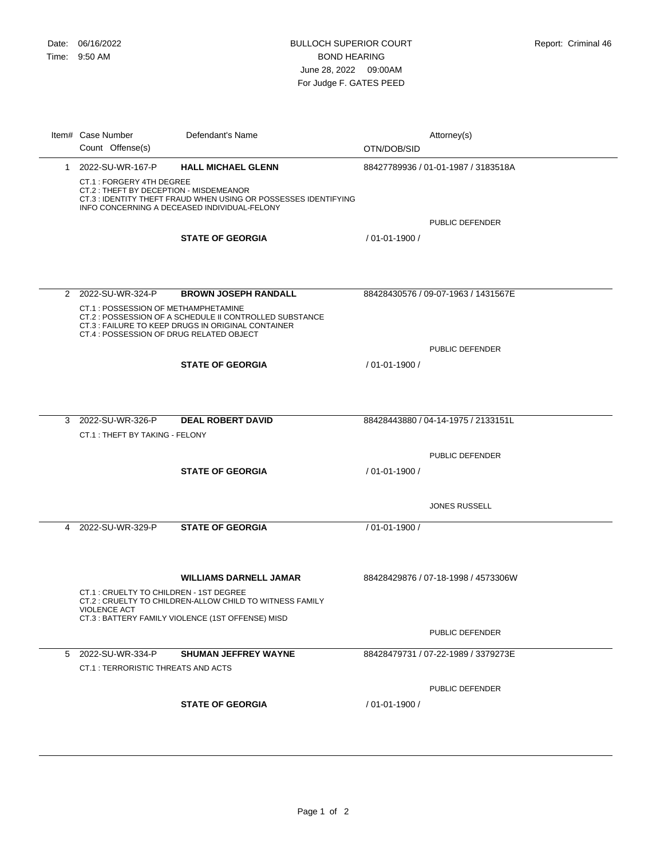|   | Item# Case Number<br>Count Offense(s)                                                                                                                                                                   | Defendant's Name                                                                                                                                                                                  | OTN/DOB/SID                         | Attorney(s)                         |
|---|---------------------------------------------------------------------------------------------------------------------------------------------------------------------------------------------------------|---------------------------------------------------------------------------------------------------------------------------------------------------------------------------------------------------|-------------------------------------|-------------------------------------|
|   | 1 2022-SU-WR-167-P                                                                                                                                                                                      | <b>HALL MICHAEL GLENN</b>                                                                                                                                                                         | 88427789936 / 01-01-1987 / 3183518A |                                     |
|   | CT.1 : FORGERY 4TH DEGREE<br>CT.2 : THEFT BY DECEPTION - MISDEMEANOR<br>CT.3 : IDENTITY THEFT FRAUD WHEN USING OR POSSESSES IDENTIFYING<br>INFO CONCERNING A DECEASED INDIVIDUAL-FELONY                 |                                                                                                                                                                                                   |                                     |                                     |
|   |                                                                                                                                                                                                         |                                                                                                                                                                                                   |                                     | PUBLIC DEFENDER                     |
|   |                                                                                                                                                                                                         | <b>STATE OF GEORGIA</b>                                                                                                                                                                           | $/01 - 01 - 1900/$                  |                                     |
|   |                                                                                                                                                                                                         |                                                                                                                                                                                                   |                                     |                                     |
|   | 2 2022-SU-WR-324-P                                                                                                                                                                                      | <b>BROWN JOSEPH RANDALL</b>                                                                                                                                                                       |                                     | 88428430576 / 09-07-1963 / 1431567E |
|   |                                                                                                                                                                                                         | CT.1 : POSSESSION OF METHAMPHETAMINE<br>CT.2 : POSSESSION OF A SCHEDULE II CONTROLLED SUBSTANCE<br>CT.3 : FAILURE TO KEEP DRUGS IN ORIGINAL CONTAINER<br>CT.4 : POSSESSION OF DRUG RELATED OBJECT |                                     |                                     |
|   |                                                                                                                                                                                                         |                                                                                                                                                                                                   | PUBLIC DEFENDER                     |                                     |
|   |                                                                                                                                                                                                         | <b>STATE OF GEORGIA</b>                                                                                                                                                                           | / 01-01-1900 /                      |                                     |
|   |                                                                                                                                                                                                         |                                                                                                                                                                                                   |                                     |                                     |
|   | 3 2022-SU-WR-326-P                                                                                                                                                                                      | <b>DEAL ROBERT DAVID</b>                                                                                                                                                                          |                                     | 88428443880 / 04-14-1975 / 2133151L |
|   | CT.1: THEFT BY TAKING - FELONY                                                                                                                                                                          |                                                                                                                                                                                                   |                                     |                                     |
|   |                                                                                                                                                                                                         |                                                                                                                                                                                                   |                                     | PUBLIC DEFENDER                     |
|   |                                                                                                                                                                                                         | <b>STATE OF GEORGIA</b>                                                                                                                                                                           | / 01-01-1900 /                      |                                     |
|   |                                                                                                                                                                                                         |                                                                                                                                                                                                   |                                     |                                     |
|   |                                                                                                                                                                                                         |                                                                                                                                                                                                   |                                     | <b>JONES RUSSELL</b>                |
|   | 4 2022-SU-WR-329-P                                                                                                                                                                                      | <b>STATE OF GEORGIA</b>                                                                                                                                                                           | / 01-01-1900 /                      |                                     |
|   |                                                                                                                                                                                                         |                                                                                                                                                                                                   |                                     |                                     |
|   | <b>WILLIAMS DARNELL JAMAR</b><br>CT.1: CRUELTY TO CHILDREN - 1ST DEGREE<br>CT.2 : CRUELTY TO CHILDREN-ALLOW CHILD TO WITNESS FAMILY<br>VIOLENCE ACT<br>CT.3: BATTERY FAMILY VIOLENCE (1ST OFFENSE) MISD |                                                                                                                                                                                                   |                                     | 88428429876 / 07-18-1998 / 4573306W |
|   |                                                                                                                                                                                                         |                                                                                                                                                                                                   |                                     |                                     |
|   |                                                                                                                                                                                                         |                                                                                                                                                                                                   |                                     |                                     |
|   |                                                                                                                                                                                                         |                                                                                                                                                                                                   |                                     | PUBLIC DEFENDER                     |
| 5 | 2022-SU-WR-334-P                                                                                                                                                                                        | <b>SHUMAN JEFFREY WAYNE</b>                                                                                                                                                                       |                                     | 88428479731 / 07-22-1989 / 3379273E |
|   | CT.1 : TERRORISTIC THREATS AND ACTS                                                                                                                                                                     |                                                                                                                                                                                                   |                                     |                                     |
|   |                                                                                                                                                                                                         |                                                                                                                                                                                                   | PUBLIC DEFENDER                     |                                     |
|   |                                                                                                                                                                                                         | <b>STATE OF GEORGIA</b>                                                                                                                                                                           | / 01-01-1900 /                      |                                     |
|   |                                                                                                                                                                                                         |                                                                                                                                                                                                   |                                     |                                     |
|   |                                                                                                                                                                                                         |                                                                                                                                                                                                   |                                     |                                     |
|   |                                                                                                                                                                                                         |                                                                                                                                                                                                   |                                     |                                     |